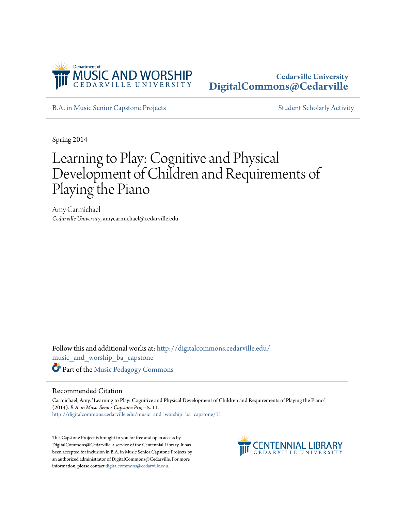

## **Cedarville University [DigitalCommons@Cedarville](http://digitalcommons.cedarville.edu?utm_source=digitalcommons.cedarville.edu%2Fmusic_and_worship_ba_capstone%2F11&utm_medium=PDF&utm_campaign=PDFCoverPages)**

[B.A. in Music Senior Capstone Projects](http://digitalcommons.cedarville.edu/music_and_worship_ba_capstone?utm_source=digitalcommons.cedarville.edu%2Fmusic_and_worship_ba_capstone%2F11&utm_medium=PDF&utm_campaign=PDFCoverPages) [Student Scholarly Activity](http://digitalcommons.cedarville.edu/music_student_scholarly_activity?utm_source=digitalcommons.cedarville.edu%2Fmusic_and_worship_ba_capstone%2F11&utm_medium=PDF&utm_campaign=PDFCoverPages)

Spring 2014

# Learning to Play: Cognitive and Physical Development of Children and Requirements of Playing the Piano

Amy Carmichael *Cedarville University*, amycarmichael@cedarville.edu

Follow this and additional works at: [http://digitalcommons.cedarville.edu/](http://digitalcommons.cedarville.edu/music_and_worship_ba_capstone?utm_source=digitalcommons.cedarville.edu%2Fmusic_and_worship_ba_capstone%2F11&utm_medium=PDF&utm_campaign=PDFCoverPages) [music\\_and\\_worship\\_ba\\_capstone](http://digitalcommons.cedarville.edu/music_and_worship_ba_capstone?utm_source=digitalcommons.cedarville.edu%2Fmusic_and_worship_ba_capstone%2F11&utm_medium=PDF&utm_campaign=PDFCoverPages) Part of the [Music Pedagogy Commons](http://network.bepress.com/hgg/discipline/1129?utm_source=digitalcommons.cedarville.edu%2Fmusic_and_worship_ba_capstone%2F11&utm_medium=PDF&utm_campaign=PDFCoverPages)

#### Recommended Citation

Carmichael, Amy, "Learning to Play: Cognitive and Physical Development of Children and Requirements of Playing the Piano" (2014). *B.A. in Music Senior Capstone Projects*. 11. [http://digitalcommons.cedarville.edu/music\\_and\\_worship\\_ba\\_capstone/11](http://digitalcommons.cedarville.edu/music_and_worship_ba_capstone/11?utm_source=digitalcommons.cedarville.edu%2Fmusic_and_worship_ba_capstone%2F11&utm_medium=PDF&utm_campaign=PDFCoverPages)

This Capstone Project is brought to you for free and open access by DigitalCommons@Cedarville, a service of the Centennial Library. It has been accepted for inclusion in B.A. in Music Senior Capstone Projects by an authorized administrator of DigitalCommons@Cedarville. For more information, please contact [digitalcommons@cedarville.edu.](mailto:digitalcommons@cedarville.edu)

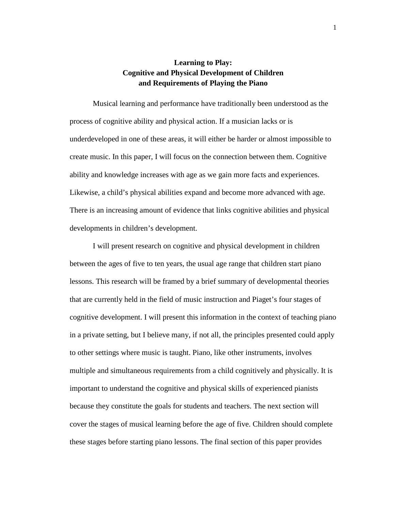### **Learning to Play: Cognitive and Physical Development of Children and Requirements of Playing the Piano**

Musical learning and performance have traditionally been understood as the process of cognitive ability and physical action. If a musician lacks or is underdeveloped in one of these areas, it will either be harder or almost impossible to create music. In this paper, I will focus on the connection between them. Cognitive ability and knowledge increases with age as we gain more facts and experiences. Likewise, a child's physical abilities expand and become more advanced with age. There is an increasing amount of evidence that links cognitive abilities and physical developments in children's development.

I will present research on cognitive and physical development in children between the ages of five to ten years, the usual age range that children start piano lessons. This research will be framed by a brief summary of developmental theories that are currently held in the field of music instruction and Piaget's four stages of cognitive development. I will present this information in the context of teaching piano in a private setting, but I believe many, if not all, the principles presented could apply to other settings where music is taught. Piano, like other instruments, involves multiple and simultaneous requirements from a child cognitively and physically. It is important to understand the cognitive and physical skills of experienced pianists because they constitute the goals for students and teachers. The next section will cover the stages of musical learning before the age of five. Children should complete these stages before starting piano lessons. The final section of this paper provides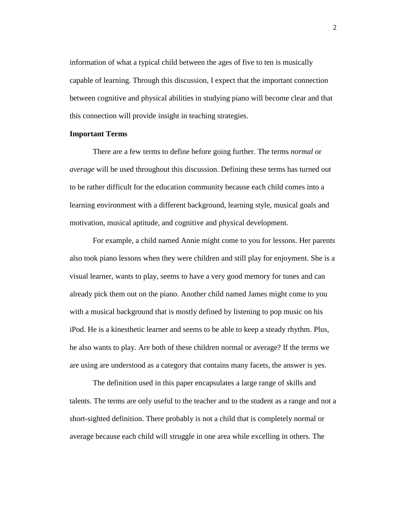information of what a typical child between the ages of five to ten is musically capable of learning. Through this discussion, I expect that the important connection between cognitive and physical abilities in studying piano will become clear and that this connection will provide insight in teaching strategies.

#### **Important Terms**

There are a few terms to define before going further. The terms *normal* or *average* will be used throughout this discussion. Defining these terms has turned out to be rather difficult for the education community because each child comes into a learning environment with a different background, learning style, musical goals and motivation, musical aptitude, and cognitive and physical development.

For example, a child named Annie might come to you for lessons. Her parents also took piano lessons when they were children and still play for enjoyment. She is a visual learner, wants to play, seems to have a very good memory for tunes and can already pick them out on the piano. Another child named James might come to you with a musical background that is mostly defined by listening to pop music on his iPod. He is a kinesthetic learner and seems to be able to keep a steady rhythm. Plus, he also wants to play. Are both of these children normal or average? If the terms we are using are understood as a category that contains many facets, the answer is yes.

The definition used in this paper encapsulates a large range of skills and talents. The terms are only useful to the teacher and to the student as a range and not a short-sighted definition. There probably is not a child that is completely normal or average because each child will struggle in one area while excelling in others. The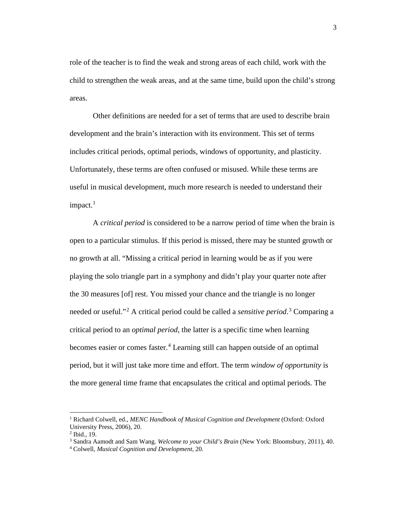role of the teacher is to find the weak and strong areas of each child, work with the child to strengthen the weak areas, and at the same time, build upon the child's strong areas.

Other definitions are needed for a set of terms that are used to describe brain development and the brain's interaction with its environment. This set of terms includes critical periods, optimal periods, windows of opportunity, and plasticity. Unfortunately, these terms are often confused or misused. While these terms are useful in musical development, much more research is needed to understand their impact.<sup>[1](#page-3-0)</sup>

A *critical period* is considered to be a narrow period of time when the brain is open to a particular stimulus. If this period is missed, there may be stunted growth or no growth at all. "Missing a critical period in learning would be as if you were playing the solo triangle part in a symphony and didn't play your quarter note after the 30 measures [of] rest. You missed your chance and the triangle is no longer needed or useful."[2](#page-3-1) A critical period could be called a *sensitive period*. [3](#page-3-2) Comparing a critical period to an *optimal period*, the latter is a specific time when learning becomes easier or comes faster.<sup>[4](#page-3-3)</sup> Learning still can happen outside of an optimal period, but it will just take more time and effort. The term *window of opportunity* is the more general time frame that encapsulates the critical and optimal periods. The

<span id="page-3-0"></span><sup>1</sup> Richard Colwell, ed., *MENC Handbook of Musical Cognition and Development* (Oxford: Oxford University Press, 2006), 20.

<span id="page-3-1"></span><sup>2</sup> Ibid., 19.

<span id="page-3-2"></span><sup>3</sup> Sandra Aamodt and Sam Wang. *Welcome to your Child's Brain* (New York: Bloomsbury, 2011), 40.

<span id="page-3-3"></span><sup>4</sup> Colwell, *Musical Cognition and Development,* 20.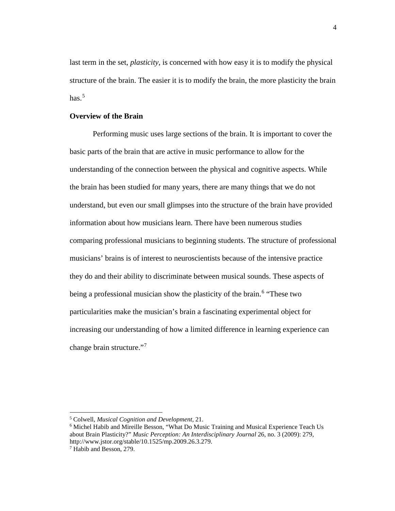last term in the set, *plasticity*, is concerned with how easy it is to modify the physical structure of the brain. The easier it is to modify the brain, the more plasticity the brain has. [5](#page-4-0)

#### **Overview of the Brain**

Performing music uses large sections of the brain. It is important to cover the basic parts of the brain that are active in music performance to allow for the understanding of the connection between the physical and cognitive aspects. While the brain has been studied for many years, there are many things that we do not understand, but even our small glimpses into the structure of the brain have provided information about how musicians learn. There have been numerous studies comparing professional musicians to beginning students. The structure of professional musicians' brains is of interest to neuroscientists because of the intensive practice they do and their ability to discriminate between musical sounds. These aspects of being a professional musician show the plasticity of the brain. [6](#page-4-1) "These two particularities make the musician's brain a fascinating experimental object for increasing our understanding of how a limited difference in learning experience can change brain structure."<sup>[7](#page-4-2)</sup>

<span id="page-4-0"></span><sup>5</sup> Colwell, *Musical Cognition and Development,* 21.

<span id="page-4-1"></span><sup>6</sup> Michel Habib and Mireille Besson, "What Do Music Training and Musical Experience Teach Us about Brain Plasticity?" *Music Perception: An Interdisciplinary Journal* 26, no. 3 (2009): 279, http://www.jstor.org/stable/10.1525/mp.2009.26.3.279.

<span id="page-4-2"></span><sup>7</sup> Habib and Besson, 279.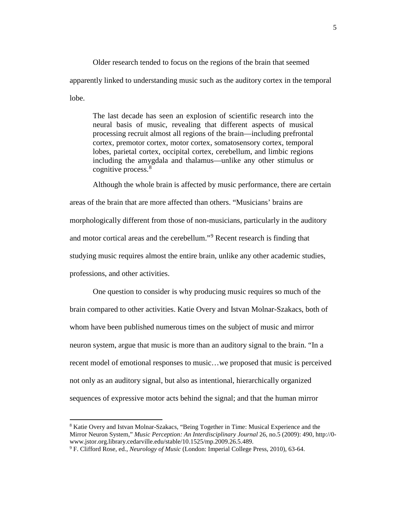Older research tended to focus on the regions of the brain that seemed apparently linked to understanding music such as the auditory cortex in the temporal lobe.

The last decade has seen an explosion of scientific research into the neural basis of music, revealing that different aspects of musical processing recruit almost all regions of the brain—including prefrontal cortex, premotor cortex, motor cortex, somatosensory cortex, temporal lobes, parietal cortex, occipital cortex, cerebellum, and limbic regions including the amygdala and thalamus—unlike any other stimulus or cognitive process.<sup>[8](#page-5-0)</sup>

Although the whole brain is affected by music performance, there are certain areas of the brain that are more affected than others. "Musicians' brains are morphologically different from those of non-musicians, particularly in the auditory and motor cortical areas and the cerebellum."<sup>[9](#page-5-1)</sup> Recent research is finding that studying music requires almost the entire brain, unlike any other academic studies, professions, and other activities.

One question to consider is why producing music requires so much of the brain compared to other activities. Katie Overy and Istvan Molnar-Szakacs, both of whom have been published numerous times on the subject of music and mirror neuron system, argue that music is more than an auditory signal to the brain. "In a recent model of emotional responses to music…we proposed that music is perceived not only as an auditory signal, but also as intentional, hierarchically organized sequences of expressive motor acts behind the signal; and that the human mirror

<span id="page-5-0"></span><sup>8</sup> Katie Overy and Istvan Molnar-Szakacs, "Being Together in Time: Musical Experience and the Mirror Neuron System," *Music Perception: An Interdisciplinary Journal* 26, no.5 (2009): 490, http://0 www.jstor.org.library.cedarville.edu/stable/10.1525/mp.2009.26.5.489.

<span id="page-5-1"></span><sup>9</sup> F. Clifford Rose, ed., *Neurology of Music* (London: Imperial College Press, 2010), 63-64.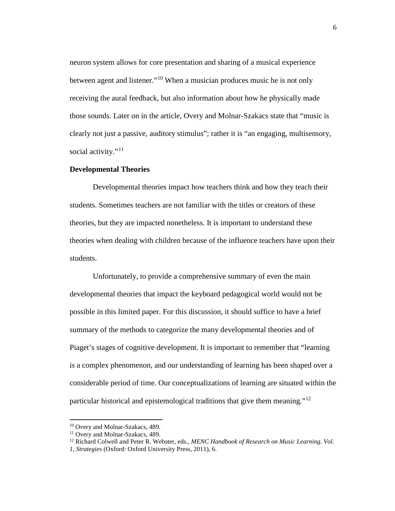neuron system allows for core presentation and sharing of a musical experience between agent and listener."[10](#page-6-0) When a musician produces music he is not only receiving the aural feedback, but also information about how he physically made those sounds. Later on in the article, Overy and Molnar-Szakacs state that "music is clearly not just a passive, auditory stimulus"; rather it is "an engaging, multisensory, social activity."<sup>[11](#page-6-1)</sup>

#### **Developmental Theories**

Developmental theories impact how teachers think and how they teach their students. Sometimes teachers are not familiar with the titles or creators of these theories, but they are impacted nonetheless. It is important to understand these theories when dealing with children because of the influence teachers have upon their students.

Unfortunately, to provide a comprehensive summary of even the main developmental theories that impact the keyboard pedagogical world would not be possible in this limited paper. For this discussion, it should suffice to have a brief summary of the methods to categorize the many developmental theories and of Piaget's stages of cognitive development. It is important to remember that "learning is a complex phenomenon, and our understanding of learning has been shaped over a considerable period of time. Our conceptualizations of learning are situated within the particular historical and epistemological traditions that give them meaning."<sup>[12](#page-6-2)</sup>

<span id="page-6-0"></span><sup>&</sup>lt;sup>10</sup> Overy and Molnar-Szakacs, 489.<br><sup>11</sup> Overy and Molnar-Szakacs, 489.

<span id="page-6-1"></span>

<span id="page-6-2"></span><sup>12</sup> Richard Colwell and Peter R. Webster, eds., *MENC Handbook of Research on Music Learning. Vol.* 

*<sup>1,</sup> Strategies* (Oxford: Oxford University Press, 2011), 6.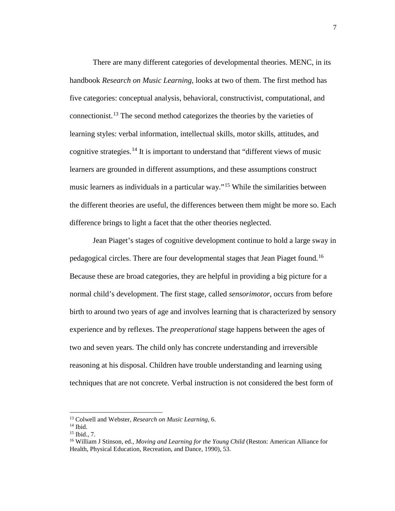There are many different categories of developmental theories. MENC, in its handbook *Research on Music Learning,* looks at two of them. The first method has five categories: conceptual analysis, behavioral, constructivist, computational, and connectionist.[13](#page-7-0) The second method categorizes the theories by the varieties of learning styles: verbal information, intellectual skills, motor skills, attitudes, and cognitive strategies.<sup>[14](#page-7-1)</sup> It is important to understand that "different views of music learners are grounded in different assumptions, and these assumptions construct music learners as individuals in a particular way."[15](#page-7-2) While the similarities between the different theories are useful, the differences between them might be more so. Each difference brings to light a facet that the other theories neglected.

Jean Piaget's stages of cognitive development continue to hold a large sway in pedagogical circles. There are four developmental stages that Jean Piaget found.[16](#page-7-3) Because these are broad categories, they are helpful in providing a big picture for a normal child's development. The first stage, called *sensorimotor*, occurs from before birth to around two years of age and involves learning that is characterized by sensory experience and by reflexes. The *preoperational* stage happens between the ages of two and seven years. The child only has concrete understanding and irreversible reasoning at his disposal. Children have trouble understanding and learning using techniques that are not concrete. Verbal instruction is not considered the best form of

<span id="page-7-0"></span><sup>13</sup> Colwell and Webster, *Research on Music Learning,* 6.

<span id="page-7-1"></span><sup>14</sup> Ibid.

<sup>15</sup> Ibid., 7.

<span id="page-7-3"></span><span id="page-7-2"></span><sup>16</sup> William J Stinson, ed., *Moving and Learning for the Young Child* (Reston: American Alliance for Health, Physical Education, Recreation, and Dance, 1990), 53.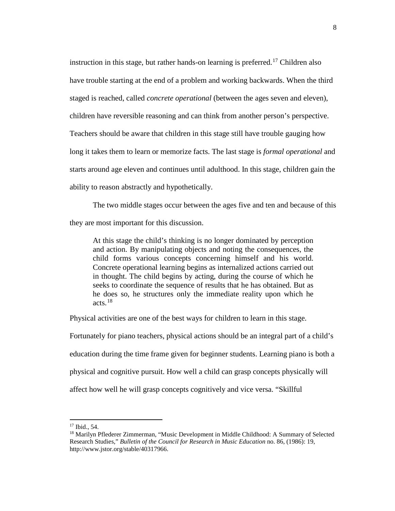instruction in this stage, but rather hands-on learning is preferred. [17](#page-8-0) Children also have trouble starting at the end of a problem and working backwards. When the third staged is reached, called *concrete operational* (between the ages seven and eleven), children have reversible reasoning and can think from another person's perspective. Teachers should be aware that children in this stage still have trouble gauging how long it takes them to learn or memorize facts. The last stage is *formal operational* and starts around age eleven and continues until adulthood. In this stage, children gain the ability to reason abstractly and hypothetically.

The two middle stages occur between the ages five and ten and because of this they are most important for this discussion.

At this stage the child's thinking is no longer dominated by perception and action. By manipulating objects and noting the consequences, the child forms various concepts concerning himself and his world. Concrete operational learning begins as internalized actions carried out in thought. The child begins by acting, during the course of which he seeks to coordinate the sequence of results that he has obtained. But as he does so, he structures only the immediate reality upon which he acts.[18](#page-8-1)

Physical activities are one of the best ways for children to learn in this stage.

Fortunately for piano teachers, physical actions should be an integral part of a child's education during the time frame given for beginner students. Learning piano is both a physical and cognitive pursuit. How well a child can grasp concepts physically will affect how well he will grasp concepts cognitively and vice versa. "Skillful

<sup>17</sup> Ibid., 54.

<span id="page-8-1"></span><span id="page-8-0"></span><sup>18</sup> Marilyn Pflederer Zimmerman, "Music Development in Middle Childhood: A Summary of Selected Research Studies," *Bulletin of the Council for Research in Music Education* no. 86, (1986): 19, http://www.jstor.org/stable/40317966.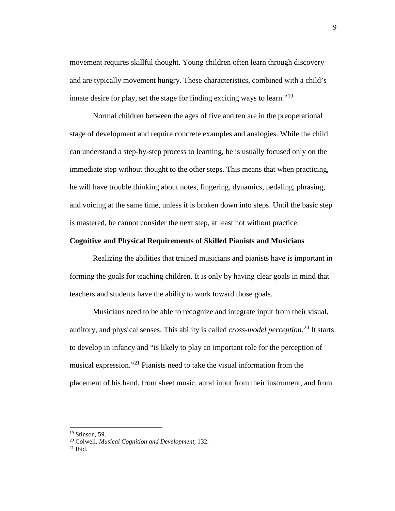movement requires skillful thought. Young children often learn through discovery and are typically movement hungry. These characteristics, combined with a child's innate desire for play, set the stage for finding exciting ways to learn."<sup>[19](#page-9-0)</sup>

Normal children between the ages of five and ten are in the preoperational stage of development and require concrete examples and analogies. While the child can understand a step-by-step process to learning, he is usually focused only on the immediate step without thought to the other steps. This means that when practicing, he will have trouble thinking about notes, fingering, dynamics, pedaling, phrasing, and voicing at the same time, unless it is broken down into steps. Until the basic step is mastered, he cannot consider the next step, at least not without practice.

#### **Cognitive and Physical Requirements of Skilled Pianists and Musicians**

Realizing the abilities that trained musicians and pianists have is important in forming the goals for teaching children. It is only by having clear goals in mind that teachers and students have the ability to work toward those goals.

Musicians need to be able to recognize and integrate input from their visual, auditory, and physical senses. This ability is called *cross-model perception*. [20](#page-9-1) It starts to develop in infancy and "is likely to play an important role for the perception of musical expression."<sup>[21](#page-9-2)</sup> Pianists need to take the visual information from the placement of his hand, from sheet music, aural input from their instrument, and from

<span id="page-9-0"></span><sup>19</sup> Stinson, 59.

<span id="page-9-1"></span><sup>20</sup> Colwell, *Musical Cognition and Development*, 132.

<span id="page-9-2"></span> $21$  Ibid.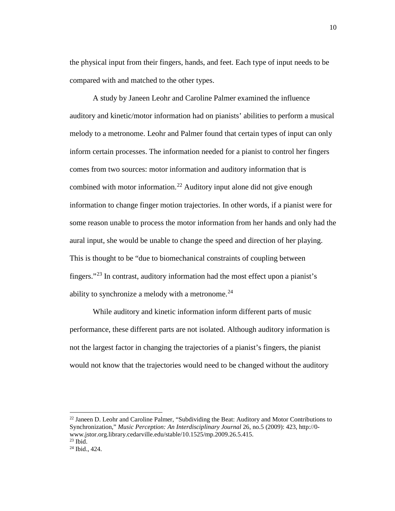the physical input from their fingers, hands, and feet. Each type of input needs to be compared with and matched to the other types.

A study by Janeen Leohr and Caroline Palmer examined the influence auditory and kinetic/motor information had on pianists' abilities to perform a musical melody to a metronome. Leohr and Palmer found that certain types of input can only inform certain processes. The information needed for a pianist to control her fingers comes from two sources: motor information and auditory information that is combined with motor information.<sup>[22](#page-10-0)</sup> Auditory input alone did not give enough information to change finger motion trajectories. In other words, if a pianist were for some reason unable to process the motor information from her hands and only had the aural input, she would be unable to change the speed and direction of her playing. This is thought to be "due to biomechanical constraints of coupling between fingers."[23](#page-10-1) In contrast, auditory information had the most effect upon a pianist's ability to synchronize a melody with a metronome. $^{24}$  $^{24}$  $^{24}$ 

While auditory and kinetic information inform different parts of music performance, these different parts are not isolated. Although auditory information is not the largest factor in changing the trajectories of a pianist's fingers, the pianist would not know that the trajectories would need to be changed without the auditory

<span id="page-10-0"></span> $^{22}$  Janeen D. Leohr and Caroline Palmer, "Subdividing the Beat: Auditory and Motor Contributions to Synchronization," *Music Perception: An Interdisciplinary Journal* 26, no.5 (2009): 423, http://0 www.jstor.org.library.cedarville.edu/stable/10.1525/mp.2009.26.5.415.  $23$  Ibid.

<span id="page-10-2"></span><span id="page-10-1"></span><sup>24</sup> Ibid., 424.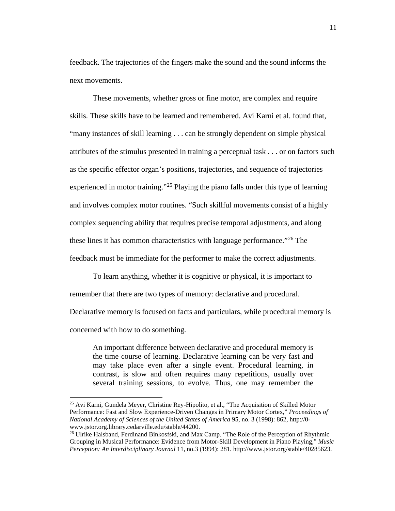feedback. The trajectories of the fingers make the sound and the sound informs the next movements.

These movements, whether gross or fine motor, are complex and require skills. These skills have to be learned and remembered. Avi Karni et al. found that, "many instances of skill learning . . . can be strongly dependent on simple physical attributes of the stimulus presented in training a perceptual task . . . or on factors such as the specific effector organ's positions, trajectories, and sequence of trajectories experienced in motor training."<sup>[25](#page-11-0)</sup> Playing the piano falls under this type of learning and involves complex motor routines. "Such skillful movements consist of a highly complex sequencing ability that requires precise temporal adjustments, and along these lines it has common characteristics with language performance."<sup>[26](#page-11-1)</sup> The feedback must be immediate for the performer to make the correct adjustments.

To learn anything, whether it is cognitive or physical, it is important to remember that there are two types of memory: declarative and procedural. Declarative memory is focused on facts and particulars, while procedural memory is concerned with how to do something.

An important difference between declarative and procedural memory is the time course of learning. Declarative learning can be very fast and may take place even after a single event. Procedural learning, in contrast, is slow and often requires many repetitions, usually over several training sessions, to evolve. Thus, one may remember the

<span id="page-11-0"></span><sup>&</sup>lt;sup>25</sup> Avi Karni, Gundela Meyer, Christine Rey-Hipolito, et al., "The Acquisition of Skilled Motor Performance: Fast and Slow Experience-Driven Changes in Primary Motor Cortex," *Proceedings of National Academy of Sciences of the United States of America* 95, no. 3 (1998): 862, http://0 www.jstor.org.library.cedarville.edu/stable/44200.

<span id="page-11-1"></span><sup>&</sup>lt;sup>26</sup> Ulrike Halsband, Ferdinand Binkosfski, and Max Camp. "The Role of the Perception of Rhythmic Grouping in Musical Performance: Evidence from Motor-Skill Development in Piano Playing," *Music Perception: An Interdisciplinary Journal* 11, no.3 (1994): 281[. http://www.jstor.org/stable/40285623.](http://www.jstor.org/stable/40285623)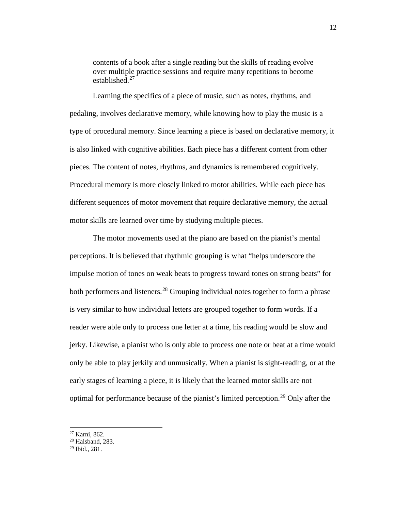contents of a book after a single reading but the skills of reading evolve over multiple practice sessions and require many repetitions to become established.[27](#page-12-0)

Learning the specifics of a piece of music, such as notes, rhythms, and pedaling, involves declarative memory, while knowing how to play the music is a type of procedural memory. Since learning a piece is based on declarative memory, it is also linked with cognitive abilities. Each piece has a different content from other pieces. The content of notes, rhythms, and dynamics is remembered cognitively. Procedural memory is more closely linked to motor abilities. While each piece has different sequences of motor movement that require declarative memory, the actual motor skills are learned over time by studying multiple pieces.

The motor movements used at the piano are based on the pianist's mental perceptions. It is believed that rhythmic grouping is what "helps underscore the impulse motion of tones on weak beats to progress toward tones on strong beats" for both performers and listeners.<sup>[28](#page-12-1)</sup> Grouping individual notes together to form a phrase is very similar to how individual letters are grouped together to form words. If a reader were able only to process one letter at a time, his reading would be slow and jerky. Likewise, a pianist who is only able to process one note or beat at a time would only be able to play jerkily and unmusically. When a pianist is sight-reading, or at the early stages of learning a piece, it is likely that the learned motor skills are not optimal for performance because of the pianist's limited perception.<sup>[29](#page-12-2)</sup> Only after the

<sup>27</sup> Karni, 862.

<span id="page-12-1"></span><span id="page-12-0"></span><sup>28</sup> Halsband, 283.

<span id="page-12-2"></span><sup>29</sup> Ibid., 281.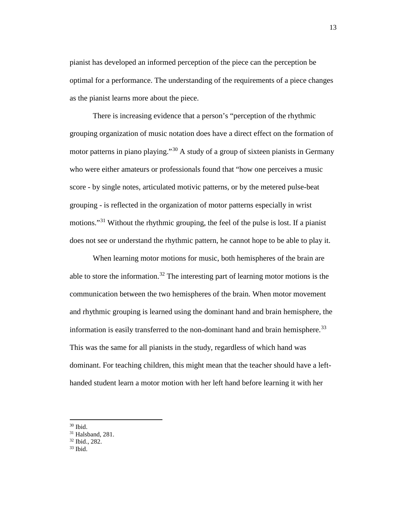pianist has developed an informed perception of the piece can the perception be optimal for a performance. The understanding of the requirements of a piece changes as the pianist learns more about the piece.

There is increasing evidence that a person's "perception of the rhythmic grouping organization of music notation does have a direct effect on the formation of motor patterns in piano playing."<sup>[30](#page-13-0)</sup> A study of a group of sixteen pianists in Germany who were either amateurs or professionals found that "how one perceives a music score - by single notes, articulated motivic patterns, or by the metered pulse-beat grouping - is reflected in the organization of motor patterns especially in wrist motions."<sup>[31](#page-13-1)</sup> Without the rhythmic grouping, the feel of the pulse is lost. If a pianist does not see or understand the rhythmic pattern, he cannot hope to be able to play it.

When learning motor motions for music, both hemispheres of the brain are able to store the information.<sup>[32](#page-13-2)</sup> The interesting part of learning motor motions is the communication between the two hemispheres of the brain. When motor movement and rhythmic grouping is learned using the dominant hand and brain hemisphere, the information is easily transferred to the non-dominant hand and brain hemisphere.<sup>[33](#page-13-3)</sup> This was the same for all pianists in the study, regardless of which hand was dominant. For teaching children, this might mean that the teacher should have a lefthanded student learn a motor motion with her left hand before learning it with her

<span id="page-13-1"></span><span id="page-13-0"></span> $30$  Ibid.<br> $31$  Halsband, 281.

<span id="page-13-2"></span> $32$  Ibid., 282.<br> $33$  Ibid.

<span id="page-13-3"></span>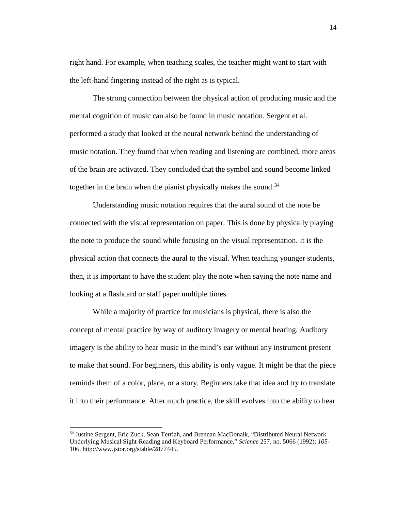right hand. For example, when teaching scales, the teacher might want to start with the left-hand fingering instead of the right as is typical.

The strong connection between the physical action of producing music and the mental cognition of music can also be found in music notation. Sergent et al. performed a study that looked at the neural network behind the understanding of music notation. They found that when reading and listening are combined, more areas of the brain are activated. They concluded that the symbol and sound become linked together in the brain when the pianist physically makes the sound.<sup>[34](#page-14-0)</sup>

Understanding music notation requires that the aural sound of the note be connected with the visual representation on paper. This is done by physically playing the note to produce the sound while focusing on the visual representation. It is the physical action that connects the aural to the visual. When teaching younger students, then, it is important to have the student play the note when saying the note name and looking at a flashcard or staff paper multiple times.

While a majority of practice for musicians is physical, there is also the concept of mental practice by way of auditory imagery or mental hearing. Auditory imagery is the ability to hear music in the mind's ear without any instrument present to make that sound. For beginners, this ability is only vague. It might be that the piece reminds them of a color, place, or a story. Beginners take that idea and try to translate it into their performance. After much practice, the skill evolves into the ability to hear

<span id="page-14-0"></span><sup>34</sup> Justine Sergent, Eric Zuck, Sean Terriah, and Brennan MacDonalk, "Distributed Neural Network Underlying Musical Sight-Reading and Keyboard Performance," *Science* 257, no. 5066 (1992): *105*- 106, http://www.jstor.org/stable/2877445.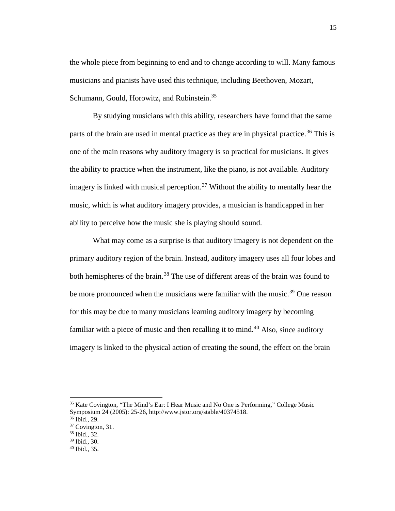the whole piece from beginning to end and to change according to will. Many famous musicians and pianists have used this technique, including Beethoven, Mozart, Schumann, Gould, Horowitz, and Rubinstein.<sup>[35](#page-15-0)</sup>

By studying musicians with this ability, researchers have found that the same parts of the brain are used in mental practice as they are in physical practice.<sup>[36](#page-15-1)</sup> This is one of the main reasons why auditory imagery is so practical for musicians. It gives the ability to practice when the instrument, like the piano, is not available. Auditory imagery is linked with musical perception.<sup>[37](#page-15-2)</sup> Without the ability to mentally hear the music, which is what auditory imagery provides, a musician is handicapped in her ability to perceive how the music she is playing should sound.

What may come as a surprise is that auditory imagery is not dependent on the primary auditory region of the brain. Instead, auditory imagery uses all four lobes and both hemispheres of the brain.<sup>[38](#page-15-3)</sup> The use of different areas of the brain was found to be more pronounced when the musicians were familiar with the music.<sup>[39](#page-15-4)</sup> One reason for this may be due to many musicians learning auditory imagery by becoming familiar with a piece of music and then recalling it to mind.<sup>[40](#page-15-5)</sup> Also, since auditory imagery is linked to the physical action of creating the sound, the effect on the brain

<span id="page-15-0"></span><sup>&</sup>lt;sup>35</sup> Kate Covington, "The Mind's Ear: I Hear Music and No One is Performing," College Music Symposium 24 (2005): 25-26, http://www.jstor.org/stable/40374518.<br><sup>36</sup> Ibid., 29.

<span id="page-15-3"></span><span id="page-15-2"></span><span id="page-15-1"></span> $37 \text{Covington, } 31.$ <br> $38 \text{Ibid., } 32.$ <br> $39 \text{Ibid., } 30.$ 

<span id="page-15-4"></span>

<span id="page-15-5"></span> $40$  Ibid., 35.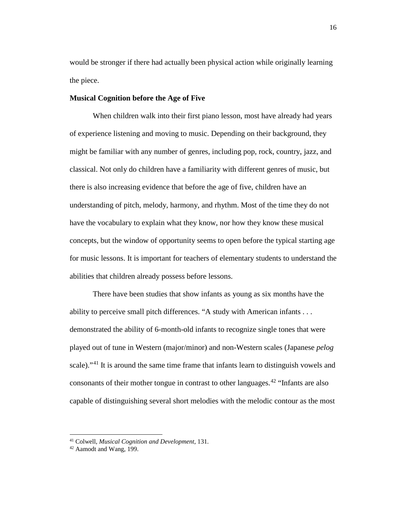would be stronger if there had actually been physical action while originally learning the piece.

#### **Musical Cognition before the Age of Five**

When children walk into their first piano lesson, most have already had years of experience listening and moving to music. Depending on their background, they might be familiar with any number of genres, including pop, rock, country, jazz, and classical. Not only do children have a familiarity with different genres of music, but there is also increasing evidence that before the age of five, children have an understanding of pitch, melody, harmony, and rhythm. Most of the time they do not have the vocabulary to explain what they know, nor how they know these musical concepts, but the window of opportunity seems to open before the typical starting age for music lessons. It is important for teachers of elementary students to understand the abilities that children already possess before lessons.

There have been studies that show infants as young as six months have the ability to perceive small pitch differences. "A study with American infants . . . demonstrated the ability of 6-month-old infants to recognize single tones that were played out of tune in Western (major/minor) and non-Western scales (Japanese *pelog* scale)."<sup>[41](#page-16-0)</sup> It is around the same time frame that infants learn to distinguish vowels and consonants of their mother tongue in contrast to other languages.<sup> $42$ </sup> "Infants are also capable of distinguishing several short melodies with the melodic contour as the most

<span id="page-16-0"></span><sup>41</sup> Colwell, *Musical Cognition and Development*, 131.

<span id="page-16-1"></span><sup>42</sup> Aamodt and Wang, 199.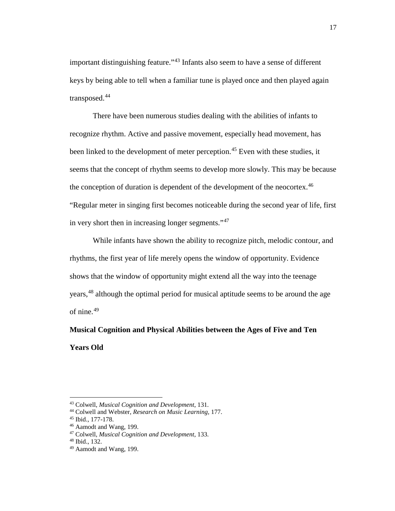important distinguishing feature."[43](#page-17-0) Infants also seem to have a sense of different keys by being able to tell when a familiar tune is played once and then played again transposed.[44](#page-17-1)

There have been numerous studies dealing with the abilities of infants to recognize rhythm. Active and passive movement, especially head movement, has been linked to the development of meter perception.<sup>[45](#page-17-2)</sup> Even with these studies, it seems that the concept of rhythm seems to develop more slowly. This may be because the conception of duration is dependent of the development of the neocortex.<sup>[46](#page-17-3)</sup> "Regular meter in singing first becomes noticeable during the second year of life, first in very short then in increasing longer segments."<sup>[47](#page-17-4)</sup>

While infants have shown the ability to recognize pitch, melodic contour, and rhythms, the first year of life merely opens the window of opportunity. Evidence shows that the window of opportunity might extend all the way into the teenage years,<sup>[48](#page-17-5)</sup> although the optimal period for musical aptitude seems to be around the age of nine.<sup>[49](#page-17-6)</sup>

**Musical Cognition and Physical Abilities between the Ages of Five and Ten Years Old**

<span id="page-17-0"></span><sup>43</sup> Colwell, *Musical Cognition and Development*, 131.

<span id="page-17-1"></span><sup>44</sup> Colwell and Webster, *Research on Music Learning,* 177.

<span id="page-17-2"></span><sup>45</sup> Ibid.*,* 177-178.

<span id="page-17-3"></span><sup>46</sup> Aamodt and Wang, 199.

<span id="page-17-4"></span><sup>47</sup> Colwell, *Musical Cognition and Development*, 133.

<span id="page-17-5"></span><sup>48</sup> Ibid., 132.

<span id="page-17-6"></span><sup>49</sup> Aamodt and Wang, 199.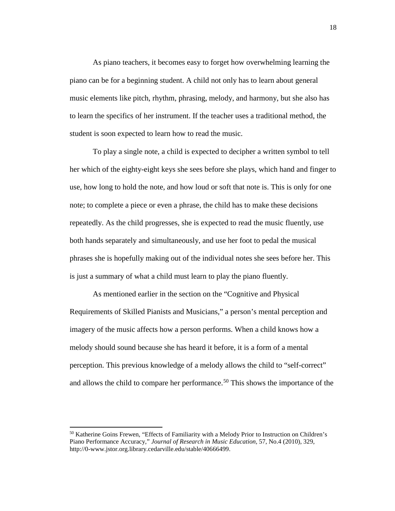As piano teachers, it becomes easy to forget how overwhelming learning the piano can be for a beginning student. A child not only has to learn about general music elements like pitch, rhythm, phrasing, melody, and harmony, but she also has to learn the specifics of her instrument. If the teacher uses a traditional method, the student is soon expected to learn how to read the music.

To play a single note, a child is expected to decipher a written symbol to tell her which of the eighty-eight keys she sees before she plays, which hand and finger to use, how long to hold the note, and how loud or soft that note is. This is only for one note; to complete a piece or even a phrase, the child has to make these decisions repeatedly. As the child progresses, she is expected to read the music fluently, use both hands separately and simultaneously, and use her foot to pedal the musical phrases she is hopefully making out of the individual notes she sees before her. This is just a summary of what a child must learn to play the piano fluently.

As mentioned earlier in the section on the "Cognitive and Physical Requirements of Skilled Pianists and Musicians," a person's mental perception and imagery of the music affects how a person performs. When a child knows how a melody should sound because she has heard it before, it is a form of a mental perception. This previous knowledge of a melody allows the child to "self-correct" and allows the child to compare her performance.<sup>[50](#page-18-0)</sup> This shows the importance of the

<span id="page-18-0"></span><sup>&</sup>lt;sup>50</sup> Katherine Goins Frewen, "Effects of Familiarity with a Melody Prior to Instruction on Children's Piano Performance Accuracy," *Journal of Research in Music Education,* 57, No.4 (2010), 329, http://0-www.jstor.org.library.cedarville.edu/stable/40666499.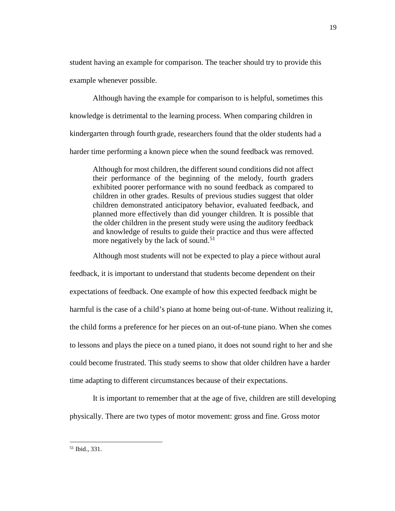student having an example for comparison. The teacher should try to provide this example whenever possible.

Although having the example for comparison to is helpful, sometimes this knowledge is detrimental to the learning process. When comparing children in kindergarten through fourth grade, researchers found that the older students had a harder time performing a known piece when the sound feedback was removed.

Although for most children, the different sound conditions did not affect their performance of the beginning of the melody, fourth graders exhibited poorer performance with no sound feedback as compared to children in other grades. Results of previous studies suggest that older children demonstrated anticipatory behavior, evaluated feedback, and planned more effectively than did younger children. It is possible that the older children in the present study were using the auditory feedback and knowledge of results to guide their practice and thus were affected more negatively by the lack of sound.<sup>[51](#page-19-0)</sup>

Although most students will not be expected to play a piece without aural

feedback, it is important to understand that students become dependent on their expectations of feedback. One example of how this expected feedback might be harmful is the case of a child's piano at home being out-of-tune. Without realizing it, the child forms a preference for her pieces on an out-of-tune piano. When she comes to lessons and plays the piece on a tuned piano, it does not sound right to her and she could become frustrated. This study seems to show that older children have a harder time adapting to different circumstances because of their expectations.

It is important to remember that at the age of five, children are still developing physically. There are two types of motor movement: gross and fine. Gross motor

<span id="page-19-0"></span><sup>51</sup> Ibid., 331.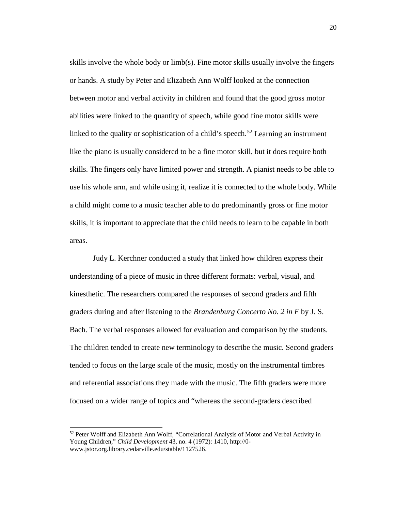skills involve the whole body or limb(s). Fine motor skills usually involve the fingers or hands. A study by Peter and Elizabeth Ann Wolff looked at the connection between motor and verbal activity in children and found that the good gross motor abilities were linked to the quantity of speech, while good fine motor skills were linked to the quality or sophistication of a child's speech.<sup>[52](#page-20-0)</sup> Learning an instrument like the piano is usually considered to be a fine motor skill, but it does require both skills. The fingers only have limited power and strength. A pianist needs to be able to use his whole arm, and while using it, realize it is connected to the whole body. While a child might come to a music teacher able to do predominantly gross or fine motor skills, it is important to appreciate that the child needs to learn to be capable in both areas.

Judy L. Kerchner conducted a study that linked how children express their understanding of a piece of music in three different formats: verbal, visual, and kinesthetic. The researchers compared the responses of second graders and fifth graders during and after listening to the *Brandenburg Concerto No. 2 in F* by J. S. Bach. The verbal responses allowed for evaluation and comparison by the students. The children tended to create new terminology to describe the music. Second graders tended to focus on the large scale of the music, mostly on the instrumental timbres and referential associations they made with the music. The fifth graders were more focused on a wider range of topics and "whereas the second-graders described

<span id="page-20-0"></span><sup>&</sup>lt;sup>52</sup> Peter Wolff and Elizabeth Ann Wolff, "Correlational Analysis of Motor and Verbal Activity in Young Children," *Child Development* 43, no. 4 (1972): 1410, http://0 www.jstor.org.library.cedarville.edu/stable/1127526.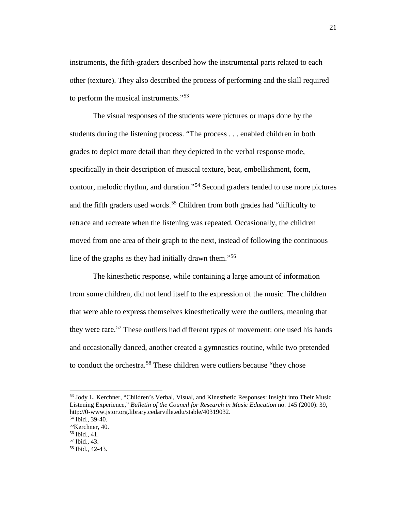instruments, the fifth-graders described how the instrumental parts related to each other (texture). They also described the process of performing and the skill required to perform the musical instruments."<sup>[53](#page-21-0)</sup>

The visual responses of the students were pictures or maps done by the students during the listening process. "The process . . . enabled children in both grades to depict more detail than they depicted in the verbal response mode, specifically in their description of musical texture, beat, embellishment, form, contour, melodic rhythm, and duration."[54](#page-21-1) Second graders tended to use more pictures and the fifth graders used words.<sup>[55](#page-21-2)</sup> Children from both grades had "difficulty to retrace and recreate when the listening was repeated. Occasionally, the children moved from one area of their graph to the next, instead of following the continuous line of the graphs as they had initially drawn them."[56](#page-21-3)

The kinesthetic response, while containing a large amount of information from some children, did not lend itself to the expression of the music. The children that were able to express themselves kinesthetically were the outliers, meaning that they were rare.<sup>[57](#page-21-4)</sup> These outliers had different types of movement: one used his hands and occasionally danced, another created a gymnastics routine, while two pretended to conduct the orchestra.<sup>[58](#page-21-5)</sup> These children were outliers because "they chose"

<span id="page-21-0"></span><sup>53</sup> Jody L. Kerchner, "Children's Verbal, Visual, and Kinesthetic Responses: Insight into Their Music Listening Experience," *Bulletin of the Council for Research in Music Education* no. 145 (2000): 39, http://0-www.jstor.org.library.cedarville.edu/stable/40319032.

 $54$  Ibid., 39-40.

<span id="page-21-2"></span><span id="page-21-1"></span><sup>55</sup>Kerchner, 40.

<span id="page-21-3"></span><sup>56</sup> Ibid., 41.

<span id="page-21-4"></span><sup>57</sup> Ibid., 43.

<span id="page-21-5"></span><sup>58</sup> Ibid., 42-43.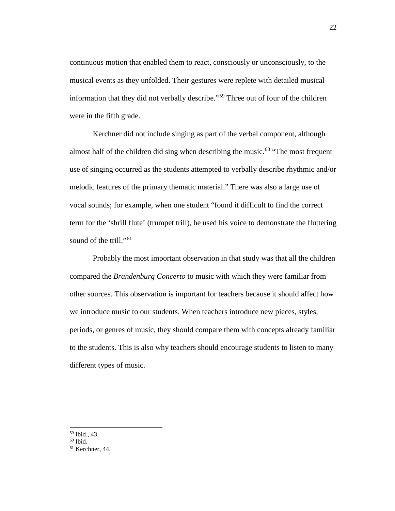continuous motion that enabled them to react, consciously or unconsciously, to the musical events as they unfolded. Their gestures were replete with detailed musical information that they did not verbally describe."<sup>[59](#page-22-0)</sup> Three out of four of the children were in the fifth grade.

Kerchner did not include singing as part of the verbal component, although almost half of the children did sing when describing the music.<sup>[60](#page-22-1)</sup> "The most frequent" use of singing occurred as the students attempted to verbally describe rhythmic and/or melodic features of the primary thematic material." There was also a large use of vocal sounds; for example, when one student "found it difficult to find the correct term for the 'shrill flute' (trumpet trill), he used his voice to demonstrate the fluttering sound of the trill."<sup>[61](#page-22-2)</sup>

Probably the most important observation in that study was that all the children compared the *Brandenburg Concerto* to music with which they were familiar from other sources. This observation is important for teachers because it should affect how we introduce music to our students. When teachers introduce new pieces, styles, periods, or genres of music, they should compare them with concepts already familiar to the students. This is also why teachers should encourage students to listen to many different types of music.

<sup>59</sup> Ibid., 43.  $\overline{\phantom{a}}$ 

<span id="page-22-1"></span><span id="page-22-0"></span> $60$  Ibid.

<span id="page-22-2"></span><sup>61</sup> Kerchner, 44.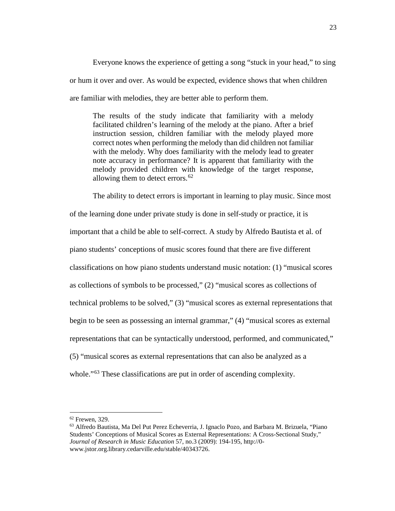Everyone knows the experience of getting a song "stuck in your head," to sing or hum it over and over. As would be expected, evidence shows that when children are familiar with melodies, they are better able to perform them.

The results of the study indicate that familiarity with a melody facilitated children's learning of the melody at the piano. After a brief instruction session, children familiar with the melody played more correct notes when performing the melody than did children not familiar with the melody. Why does familiarity with the melody lead to greater note accuracy in performance? It is apparent that familiarity with the melody provided children with knowledge of the target response, allowing them to detect errors. $62$ 

The ability to detect errors is important in learning to play music. Since most of the learning done under private study is done in self-study or practice, it is important that a child be able to self-correct. A study by Alfredo Bautista et al*.* of piano students' conceptions of music scores found that there are five different classifications on how piano students understand music notation: (1) "musical scores as collections of symbols to be processed," (2) "musical scores as collections of technical problems to be solved," (3) "musical scores as external representations that begin to be seen as possessing an internal grammar," (4) "musical scores as external representations that can be syntactically understood, performed, and communicated," (5) "musical scores as external representations that can also be analyzed as a whole."<sup>[63](#page-23-1)</sup> These classifications are put in order of ascending complexity.

<span id="page-23-1"></span><span id="page-23-0"></span> $62$  Frewen, 329.<br> $63$  Alfredo Bautista, Ma Del Put Perez Echeverria, J. Ignaclo Pozo, and Barbara M. Brizuela, "Piano Students' Conceptions of Musical Scores as External Representations: A Cross-Sectional Study," *Journal of Research in Music Education* 57, no.3 (2009): 194-195, http://0 www.jstor.org.library.cedarville.edu/stable/40343726.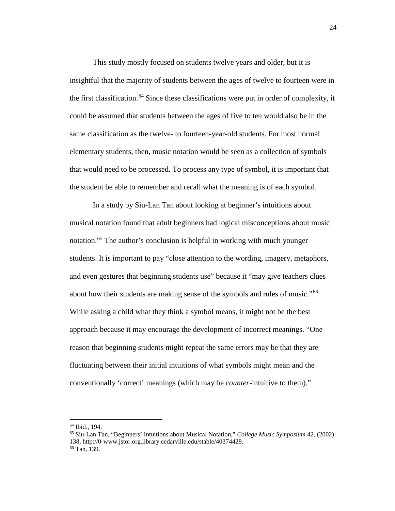This study mostly focused on students twelve years and older, but it is insightful that the majority of students between the ages of twelve to fourteen were in the first classification.<sup>[64](#page-24-0)</sup> Since these classifications were put in order of complexity, it could be assumed that students between the ages of five to ten would also be in the same classification as the twelve- to fourteen-year-old students. For most normal elementary students, then, music notation would be seen as a collection of symbols that would need to be processed. To process any type of symbol, it is important that the student be able to remember and recall what the meaning is of each symbol.

In a study by Siu-Lan Tan about looking at beginner's intuitions about musical notation found that adult beginners had logical misconceptions about music notation.<sup>[65](#page-24-1)</sup> The author's conclusion is helpful in working with much younger students. It is important to pay "close attention to the wording, imagery, metaphors, and even gestures that beginning students use" because it "may give teachers clues about how their students are making sense of the symbols and rules of music."<sup>[66](#page-24-2)</sup> While asking a child what they think a symbol means, it might not be the best approach because it may encourage the development of incorrect meanings. "One reason that beginning students might repeat the same errors may be that they are fluctuating between their initial intuitions of what symbols might mean and the conventionally 'correct' meanings (which may be *counter*-intuitive to them)."

<span id="page-24-0"></span><sup>64</sup> Ibid., 194.

<span id="page-24-2"></span><span id="page-24-1"></span><sup>65</sup> Siu-Lan Tan, "Beginners' Intuitions about Musical Notation," *College Music Symposium* 42, (2002): 138, http://0-www.jstor.org.library.cedarville.edu/stable/40374428. 66 Tan, 139.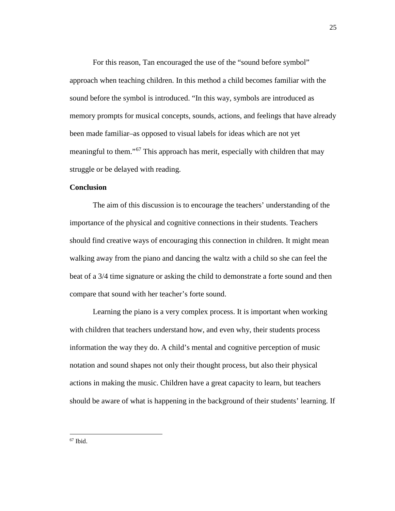For this reason, Tan encouraged the use of the "sound before symbol" approach when teaching children. In this method a child becomes familiar with the sound before the symbol is introduced. "In this way, symbols are introduced as memory prompts for musical concepts, sounds, actions, and feelings that have already been made familiar–as opposed to visual labels for ideas which are not yet meaningful to them."[67](#page-25-0) This approach has merit, especially with children that may struggle or be delayed with reading.

#### **Conclusion**

The aim of this discussion is to encourage the teachers' understanding of the importance of the physical and cognitive connections in their students. Teachers should find creative ways of encouraging this connection in children. It might mean walking away from the piano and dancing the waltz with a child so she can feel the beat of a 3/4 time signature or asking the child to demonstrate a forte sound and then compare that sound with her teacher's forte sound.

Learning the piano is a very complex process. It is important when working with children that teachers understand how, and even why, their students process information the way they do. A child's mental and cognitive perception of music notation and sound shapes not only their thought process, but also their physical actions in making the music. Children have a great capacity to learn, but teachers should be aware of what is happening in the background of their students' learning. If

<span id="page-25-0"></span> $67$  Ibid.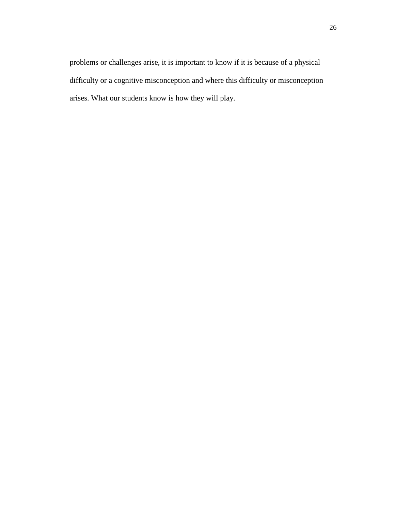problems or challenges arise, it is important to know if it is because of a physical difficulty or a cognitive misconception and where this difficulty or misconception arises. What our students know is how they will play.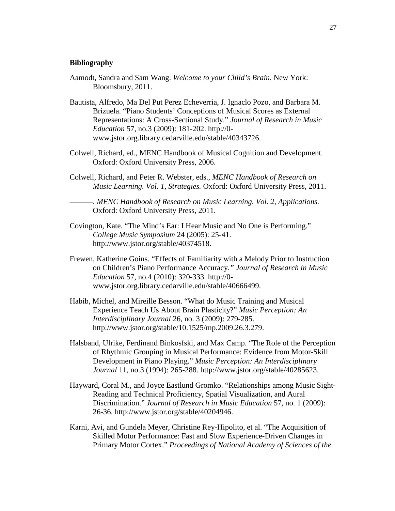#### **Bibliography**

- Aamodt, Sandra and Sam Wang. *Welcome to your Child's Brain.* New York: Bloomsbury, 2011.
- Bautista, Alfredo, Ma Del Put Perez Echeverria, J. Ignaclo Pozo, and Barbara M. Brizuela. "Piano Students' Conceptions of Musical Scores as External Representations: A Cross-Sectional Study." *Journal of Research in Music Education* 57, no.3 (2009): 181-202. http://0 www.jstor.org.library.cedarville.edu/stable/40343726.
- Colwell, Richard, ed., MENC Handbook of Musical Cognition and Development. Oxford: Oxford University Press, 2006.
- Colwell, Richard, and Peter R. Webster, eds., *MENC Handbook of Research on Music Learning. Vol. 1, Strategies.* Oxford: Oxford University Press, 2011.

———. *MENC Handbook of Research on Music Learning. Vol. 2, Applications.*  Oxford: Oxford University Press, 2011.

- Covington, Kate. "The Mind's Ear: I Hear Music and No One is Performing." *College Music Symposium* 24 (2005): 25-41. http://www.jstor.org/stable/40374518.
- Frewen, Katherine Goins. "Effects of Familiarity with a Melody Prior to Instruction on Children's Piano Performance Accuracy*." Journal of Research in Music Education* 57, no.4 (2010): 320-333. http://0 www.jstor.org.library.cedarville.edu/stable/40666499.
- Habib, Michel, and Mireille Besson. "What do Music Training and Musical Experience Teach Us About Brain Plasticity?" *Music Perception: An Interdisciplinary Journal* 26, no. 3 (2009): 279-285. http://www.jstor.org/stable/10.1525/mp.2009.26.3.279.
- Halsband, Ulrike, Ferdinand Binkosfski, and Max Camp. "The Role of the Perception of Rhythmic Grouping in Musical Performance: Evidence from Motor-Skill Development in Piano Playing." *Music Perception: An Interdisciplinary Journal* 11, no.3 (1994): 265-288. http://www.jstor.org/stable/40285623.
- Hayward, Coral M., and Joyce Eastlund Gromko. "Relationships among Music Sight-Reading and Technical Proficiency, Spatial Visualization, and Aural Discrimination." *Journal of Research in Music Education* 57, no. 1 (2009): 26-36. http://www.jstor.org/stable/40204946.
- Karni, Avi, and Gundela Meyer, Christine Rey-Hipolito, et al. "The Acquisition of Skilled Motor Performance: Fast and Slow Experience-Driven Changes in Primary Motor Cortex." *Proceedings of National Academy of Sciences of the*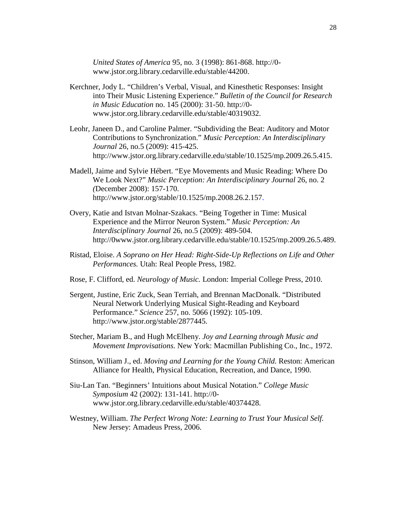*United States of America* 95, no. 3 (1998): 861-868. http://0 www.jstor.org.library.cedarville.edu/stable/44200.

- Kerchner, Jody L. "Children's Verbal, Visual, and Kinesthetic Responses: Insight into Their Music Listening Experience." *Bulletin of the Council for Research in Music Education* no. 145 (2000): 31-50. http://0 www.jstor.org.library.cedarville.edu/stable/40319032.
- Leohr, Janeen D., and Caroline Palmer. "Subdividing the Beat: Auditory and Motor Contributions to Synchronization." *Music Perception: An Interdisciplinary Journal* 26, no.5 (2009): 415-425. http://www.jstor.org.library.cedarville.edu/stable/10.1525/mp.2009.26.5.415.
- Madell, Jaime and Sylvie Hébert. "Eye Movements and Music Reading: Where Do We Look Next?" *Music Perception: An Interdisciplinary Journal* 26, no. 2 *(*December 2008): 157-170. http://www.jstor.org/stable/10.1525/mp.2008.26.2.157.
- Overy, Katie and Istvan Molnar-Szakacs. "Being Together in Time: Musical Experience and the Mirror Neuron System." *Music Perception: An Interdisciplinary Journal* 26, no.5 (2009): 489-504. http://0www.jstor.org.library.cedarville.edu/stable/10.1525/mp.2009.26.5.489.
- Ristad, Eloise. *A Soprano on Her Head: Right-Side-Up Reflections on Life and Other Performances.* Utah: Real People Press, 1982.
- Rose, F. Clifford, ed. *Neurology of Music.* London: Imperial College Press, 2010.
- Sergent, Justine, Eric Zuck, Sean Terriah, and Brennan MacDonalk. "Distributed Neural Network Underlying Musical Sight-Reading and Keyboard Performance." *Science* 257, no. 5066 (1992): 105-109. http://www.jstor.org/stable/2877445.
- Stecher, Mariam B., and Hugh McElheny. *Joy and Learning through Music and Movement Improvisations.* New York: Macmillan Publishing Co., Inc., 1972.
- Stinson, William J., ed. *Moving and Learning for the Young Child.* Reston: American Alliance for Health, Physical Education, Recreation, and Dance, 1990.
- Siu-Lan Tan. "Beginners' Intuitions about Musical Notation." *College Music Symposium* 42 (2002): 131-141. http://0 www.jstor.org.library.cedarville.edu/stable/40374428.
- Westney, William. *The Perfect Wrong Note: Learning to Trust Your Musical Self.*  New Jersey: Amadeus Press, 2006.